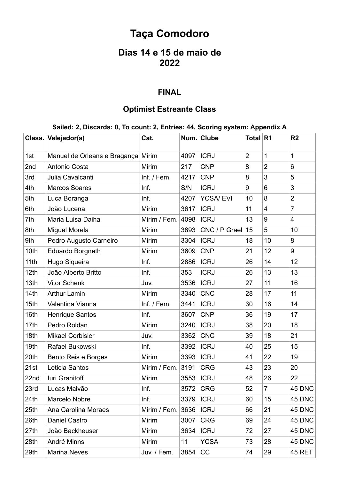# **Taça Comodoro**

## **Dias 14 e 15 de maio de 2022**

#### **FINAL**

### **Optimist Estreante Class**

#### **Sailed: 2, Discards: 0, To count: 2, Entries: 44, Scoring system: Appendix A**

|      | Class. Velejador(a)                | Cat.              |      | Num. Clube      | Total R1       |                         | R <sub>2</sub> |
|------|------------------------------------|-------------------|------|-----------------|----------------|-------------------------|----------------|
| 1st  | Manuel de Orleans e Bragança Mirim |                   | 4097 | <b>ICRJ</b>     | $\overline{2}$ | $\mathbf{1}$            | 1              |
| 2nd  | Antonio Costa                      | Mirim             | 217  | <b>CNP</b>      | 8              | $\overline{2}$          | 6              |
| 3rd  | Julia Cavalcanti                   | Inf. / Fem.       | 4217 | <b>CNP</b>      | 8              | 3                       | 5              |
| 4th  | <b>Marcos Soares</b>               | Inf.              | S/N  | <b>ICRJ</b>     | 9              | 6                       | 3              |
| 5th  | Luca Boranga                       | Inf.              | 4207 | <b>YCSA/EVI</b> | 10             | 8                       | $\overline{2}$ |
| 6th  | João Lucena                        | <b>Mirim</b>      | 3617 | <b>ICRJ</b>     | 11             | $\overline{\mathbf{4}}$ | $\overline{7}$ |
| 7th  | Maria Luisa Daiha                  | Mirim / Fem. 4098 |      | <b>ICRJ</b>     | 13             | 9                       | 4              |
| 8th  | Miguel Morela                      | Mirim             | 3893 | CNC / P Grael   | 15             | 5                       | 10             |
| 9th  | Pedro Augusto Carneiro             | Mirim             | 3304 | <b>ICRJ</b>     | 18             | 10                      | 8              |
| 10th | Eduardo Borgneth                   | Mirim             | 3609 | <b>CNP</b>      | 21             | 12                      | 9              |
| 11th | Hugo Siqueira                      | Inf.              | 2886 | <b>ICRJ</b>     | 26             | 14                      | 12             |
| 12th | João Alberto Britto                | Inf.              | 353  | <b>ICRJ</b>     | 26             | 13                      | 13             |
| 13th | <b>Vitor Schenk</b>                | Juv.              | 3536 | <b>ICRJ</b>     | 27             | 11                      | 16             |
| 14th | <b>Arthur Lamin</b>                | Mirim             | 3340 | <b>CNC</b>      | 28             | 17                      | 11             |
| 15th | Valentina Vianna                   | Inf. / Fem.       | 3441 | <b>ICRJ</b>     | 30             | 16                      | 14             |
| 16th | <b>Henrique Santos</b>             | Inf.              | 3607 | <b>CNP</b>      | 36             | 19                      | 17             |
| 17th | Pedro Roldan                       | Mirim             | 3240 | <b>ICRJ</b>     | 38             | 20                      | 18             |
| 18th | <b>Mikael Corbisier</b>            | Juv.              | 3362 | <b>CNC</b>      | 39             | 18                      | 21             |
| 19th | Rafael Bukowski                    | Inf.              | 3392 | <b>ICRJ</b>     | 40             | 25                      | 15             |
| 20th | Bento Reis e Borges                | Mirim             | 3393 | <b>ICRJ</b>     | 41             | 22                      | 19             |
| 21st | Leticia Santos                     | Mirim / Fem. 3191 |      | <b>CRG</b>      | 43             | 23                      | 20             |
| 22nd | luri Granitoff                     | Mirim             | 3553 | <b>ICRJ</b>     | 48             | 26                      | 22             |
| 23rd | Lucas Malvão                       | Inf.              | 3572 | CRG             | 52             | $\overline{7}$          | 45 DNC         |
| 24th | Marcelo Nobre                      | Inf.              | 3379 | <b>ICRJ</b>     | 60             | 15                      | 45 DNC         |
| 25th | Ana Carolina Moraes                | Mirim / Fem.      | 3636 | <b>ICRJ</b>     | 66             | 21                      | 45 DNC         |
| 26th | Daniel Castro                      | Mirim             | 3007 | <b>CRG</b>      | 69             | 24                      | 45 DNC         |
| 27th | João Backheuser                    | Mirim             | 3634 | <b>ICRJ</b>     | 72             | 27                      | 45 DNC         |
| 28th | André Minns                        | Mirim             | 11   | <b>YCSA</b>     | 73             | 28                      | 45 DNC         |
| 29th | <b>Marina Neves</b>                | Juv. / Fem.       | 3854 | CC              | 74             | 29                      | <b>45 RET</b>  |